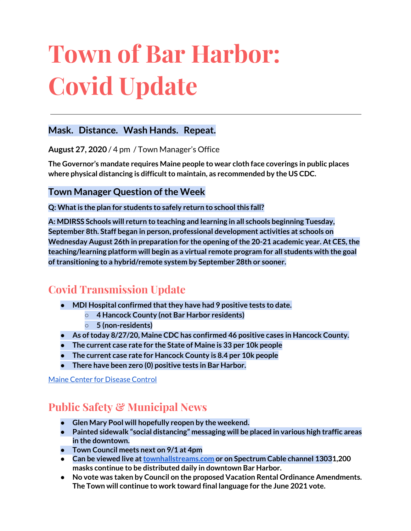# **Town of Bar Harbor: Covid Update**

### **Mask. Distance. Wash Hands. Repeat.**

**August 27, 2020** / 4 pm / Town Manager's Office

**The Governor's mandate requires Maine people to wear cloth face coverings in public places where physical distancing is difficultto maintain, as recommended by the US CDC.**

**Town Manager Question ofthe Week**

**Q: Whatis the plan for students to safely return to schoolthis fall?**

**A: MDIRSS Schools will return to teaching and learning in all schools beginning Tuesday, September 8th. Staff began in person, professional development activities at schools on Wednesday August 26th in preparation for the opening ofthe 20-21 academic year. At CES,the teaching/learning platform will begin as a virtual remote program for all students with the goal oftransitioning to a hybrid/remote system by September 28th or sooner.**

# **Covid Transmission Update**

- **● MDI Hospital confirmed thatthey have had 9 positive tests to date.**
	- **○ 4 Hancock County (not Bar Harbor residents)**
	- **○ 5 (non-residents)**
- **● As oftoday 8/27/20, Maine CDC has confirmed 46 positive cases in Hancock County.**
- **● The current case rate for the State of Maine is 33 per 10k people**
- **● The current case rate for Hancock County is 8.4 per 10k people**
- **There have been zero (0) positive tests in Bar Harbor.**

Maine Center for [Disease](https://www.maine.gov/dhhs/mecdc/infectious-disease/epi/airborne/coronavirus.shtml) Control

# **Public Safety & Municipal News**

- **● Glen Mary Pool will hopefully reopen by the weekend.**
- **● Painted sidewalk "social distancing" messaging will be placed in various high traffic areas in the downtown.**
- **● Town Council meets next on 9/1 at 4pm**
- **● Can be viewed live at[townhallstreams.com](https://townhallstreams.com/) or on Spectrum Cable channel 13031,200 masks continue to be distributed daily in downtown Bar Harbor.**
- **● No vote was taken by Council on the proposed Vacation Rental Ordinance Amendments. The Town will continue to work toward final language for the June 2021 vote.**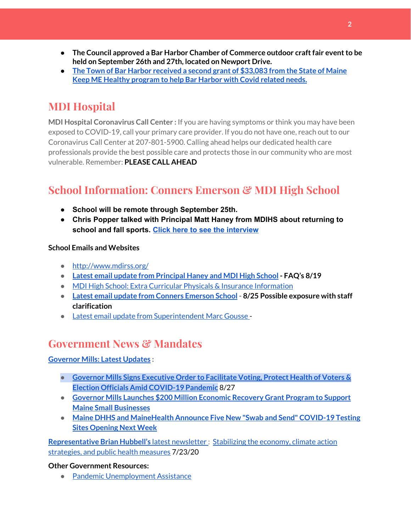- **● The Council approved a Bar Harbor Chamber of Commerce outdoor craftfair eventto be held on September 26th and 27th, located on Newport Drive.**
- **● The Town of Bar Harbor [received](https://www.maine.gov/governor/mills/news/mills-administration-approves-second-round-covid-19-prevention-and-protection-awards-under) a second grant of \$33,083 from the State of Maine Keep ME Healthy [program](https://www.maine.gov/governor/mills/news/mills-administration-approves-second-round-covid-19-prevention-and-protection-awards-under) to help Bar Harbor with Covid related needs.**

# **MDI Hospital**

**MDI Hospital Coronavirus Call Center :** If you are having symptoms or think you may have been exposed to COVID-19, call your primary care provider. If you do not have one, reach out to our Coronavirus Call Center at 207-801-5900. Calling ahead helps our dedicated health care professionals provide the best possible care and protects those in our community who are most vulnerable. Remember: **PLEASE CALL AHEAD**

# **School Information: Conners Emerson & MDI High School**

- **● School will be remote through September 25th.**
- **● Chris Popper talked with Principal Matt Haney from MDIHS about returning to school and fall sports. Click here to see the [interview](https://wdea.am/matt-haney-interview-august-20-video/?trackback=fbshare_mobile&fbclid=IwAR1D7TCctiFXeWQAOz7eUKOgnhS27wwAHTcza1sCsjWt_GcsSERBEIeL3pM)**

**School Emails and Websites**

- <http://www.mdirss.org/>
- **● Latest email update from [Principal](https://docs.google.com/document/d/1OKDsYNtOgV0FI9xAcXwQvenOKLV0S2vBg1o5jtu5CrE/edit?usp=sharing) Haney and MDI High School - FAQ's 8/19**
- MDI High School: Extra Curricular Physicals & Insurance [Information](https://wdea.am/mdihs-extracurricular-activity-physicals-and-insurance-information/?trackback=fbshare_mobile&fbclid=IwAR0wxPd824oG1ATLwkeI9s9n2sdpvEiyxeJGgB_mh2BlEJNT_AXiMynkobs)
- **● Latest email update from Conners [Emerson](https://docs.google.com/document/d/1v3pgkG6Q-9S3gisuUIj4etPVDwgBKl4P00JBkvZr-kk/edit?usp=sharing) School - 8/25 Possible exposure with staff clarification**
- Latest email update from [Superintendent](https://docs.google.com/document/d/1fzeCbc8gpTSKmUaDoQH1Avx5PVl-h0reFphXrT1eUNA/edit?usp=sharing) Marc Gousse -

## **Government News & Mandates**

#### **[Governor](https://www.maine.gov/governor/mills/) Mills: Latest Updates :**

- **● Governor Mills Signs [Executive](https://www.maine.gov/governor/mills/news/governor-mills-signs-executive-order-facilitate-voting-protect-health-voters-election) Order to Facilitate Voting, Protect Health of Voters & Election Officials Amid [COVID-19](https://www.maine.gov/governor/mills/news/governor-mills-signs-executive-order-facilitate-voting-protect-health-voters-election) Pandemic** 8/27
- **● Governor Mills Launches \$200 Million [Economic](https://www.maine.gov/governor/mills/news/governor-mills-launches-200-million-economic-recovery-grant-program-support-maine-small) Recovery Grant Program to Support Maine Small [Businesses](https://www.maine.gov/governor/mills/news/governor-mills-launches-200-million-economic-recovery-grant-program-support-maine-small)**
- **Maine DHHS and [MaineHealth](https://www.maine.gov/governor/mills/news/maine-dhhs-and-mainehealth-announce-five-new-swab-and-send-covid-19-testing-sites-opening-next) Announce Five New "Swab and Send" COVID-19 Testing Sites [Opening](https://www.maine.gov/governor/mills/news/maine-dhhs-and-mainehealth-announce-five-new-swab-and-send-covid-19-testing-sites-opening-next) Next Week**

**[Representative](http://www.rephubbell.com/) Brian Hubbell's** latest [newsletter](http://www.rephubbell.com/) : [Stabilizing](http://www.rephubbell.com/2020/07/23/stabilizing-the-economy-climate-action-strategies-and-public-health-measures/) the economy, climate action [strategies,](http://www.rephubbell.com/2020/07/23/stabilizing-the-economy-climate-action-strategies-and-public-health-measures/) and public health measures 7/23/20

#### **Other Government Resources:**

● Pandemic [Unemployment](https://www.maine.gov/unemployment/pua/) Assistance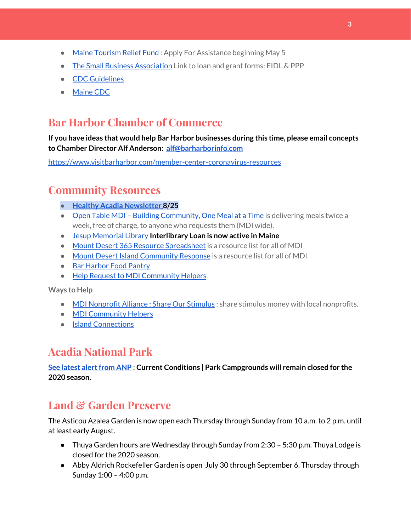- Maine [Tourism](https://www.mainetourism.com/maine-tourism-relief-fund/) Relief Fund : Apply For Assistance beginning May 5
- The Small Business [Association](https://www.sba.gov/) Link to loan and grant forms: EIDL & PPP
- CDC [Guidelines](https://www.cdc.gov/coronavirus/2019-nCoV/index.html)
- [Maine](https://www.maine.gov/dhhs/mecdc/infectious-disease/epi/airborne/coronavirus.shtml#news) CDC

## **Bar Harbor Chamber of Commerce**

**If you have ideas that would help Bar Harbor businesses during this time, please email concepts to Chamber Director Alf Anderson: [alf@barharborinfo.com](mailto:alf@barharborinfo.com)**

<https://www.visitbarharbor.com/member-center-coronavirus-resources>

## **Community Resources**

- **● Healthy Acadia [Newsletter](https://mailchi.mp/healthyacadia.org/august_25_2020?e=e6ccd2569f) [8](https://mailchi.mp/healthyacadia.org/august_25_2020?e=e6ccd2569f)/25**
- Open Table MDI Building [Community,](https://www.opentablemdi.org/) One Meal at a Time is delivering meals twice a week, free of charge, to anyone who requests them (MDI wide).
- Jesup [Memorial](https://jesuplibrary.org/) Library **Interlibrary Loan is now active in Maine**
- Mount Desert 365 Resource [Spreadsheet](https://docs.google.com/spreadsheets/d/1okAx6HSsgXZY9CGH07Dzi6rqe7a6m4dLCPKot2Li7Ek/edit?usp=sharing) is a resource list for all of MDI
- Mount Desert Island [Community](https://www.mdicr.org/) Response is a resource list for all of MDI
- Bar [Harbor](https://www.barharborfoodpantry.org/) Food Pantry
- Help Request to MDI [Community](https://docs.google.com/forms/d/e/1FAIpQLSeZfu0tCcthHc9oL7tPomVRdniYiE7nbT_kkK9iCSRgqDhOvQ/viewform) Helpers

**Ways to Help**

- MDI [Nonprofit](https://sites.google.com/mdina.org/public/sos-mdi?authuser=0) Alliance : Share Our Stimulus : share stimulus money with local nonprofits.
- **MDI [Community](https://docs.google.com/forms/d/e/1FAIpQLSe_CJUFdVvwJkmymWRqUeK8bx3m7n4uSOuUPYHqXSAyH2DBoQ/viewform?fbclid=IwAR25hjnWGhnMP0lOWMcBPRBumhtQCJGZO4hlk-T-VjNGZljL1kVX5pWrL6U) Helpers**
- Island [Connections](http://islconnections.org/contact-us/)

## **Acadia National Park**

**See latest [alertfrom](https://www.nps.gov/acad/planyourvisit/conditions.htm) ANP : Current Conditions | Park Campgrounds will remain closed for the 2020 season.**

# **Land & Garden Preserve**

The Asticou Azalea Garden is now open each Thursday through Sunday from 10 a.m. to 2 p.m. until at least early August.

- Thuya Garden hours are Wednesday through Sunday from 2:30 5:30 p.m. Thuya Lodge is closed for the 2020 season.
- Abby Aldrich Rockefeller Garden is open July 30 through September 6. Thursday through Sunday 1:00 – 4:00 p.m.